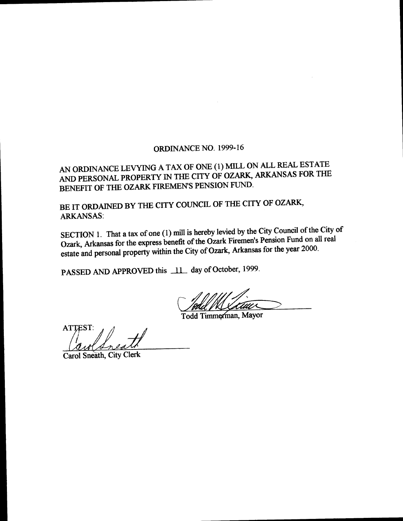## ORDINANCE NO. 1999- 16

AN ORDINANCE LEVYING A TAX OF ONE( 1) MILL ON ALL REAL ESTATE AND PERSONAL PROPERTY IN THE CITY OF OZARK, ARKANSAS FOR THE BENEFIT OF THE OZARK FIREMEN'S PENSION FUND.

BE IT ORDAINED BY THE CITY COUNCIL OF THE CITY OF OZARK, ARKANSAS:

SECTION 1. That a tax of one (1) mill is hereby levied by the City Council of the City of Ozark, Arkansas for the express benefit of the Ozark Firemen's Pension Fund on all real estate and personal property within the City of Ozark, Arkansas for the year 2000.

PASSED AND APPROVED this  $\Box$  day of October, 1999.

<u> Udaac</u>

Todd Timmerman, Mayor

**ATTEST:** 

Carol Sneath, City Clerk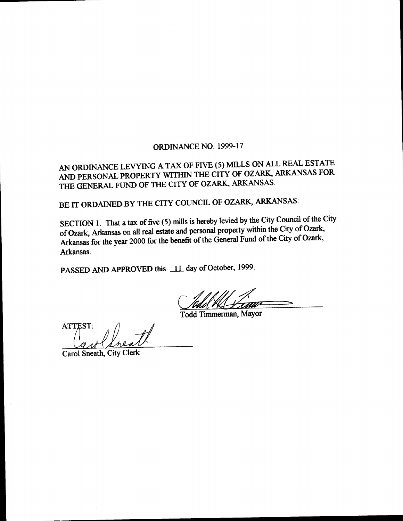## ORDINANCE NO, 1999- 17

AN ORDINANCE LEVYING A TAX OF FIVE (5) MILLS ON ALL REAL ESTATE AND PERSONAL PROPERTY WITHIN THE CITY OF OZARK, ARKANSAS FOR THE GENERAL FUND OF THE CITY OF OZARK, ARKANSAS.

BE IT ORDAINED BY THE CITY COUNCIL OF OZARK, ARKANSAS:

SECTION 1. That a tax of five (5) mills is hereby levied by the City Council of the City of Ozark, Arkansas on all real estate and personal property within the City of Ozark, Arkansas for the year 2000 for the benefit of the General Fund of the City of Ozark, Arkansas.

PASSED AND APPROVED this 11 day of October, 1999.

<u>/</u> Vd. 'Stitil

Todd Timmerman, Mayor

**ATTEST:** 

Carol Sneath, City Clerk